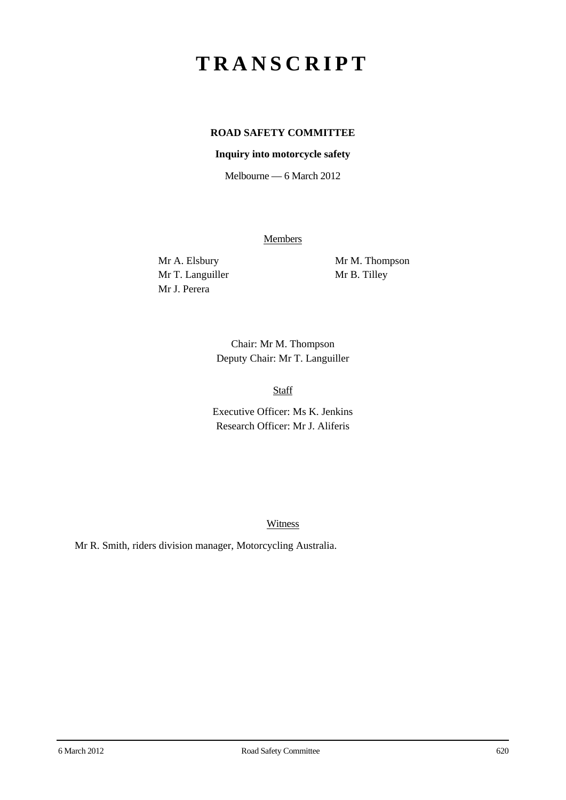# **TRANSCRIPT**

# **ROAD SAFETY COMMITTEE**

#### **Inquiry into motorcycle safety**

Melbourne — 6 March 2012

**Members** 

Mr T. Languiller Mr B. Tilley Mr J. Perera

Mr A. Elsbury Mr M. Thompson

Chair: Mr M. Thompson Deputy Chair: Mr T. Languiller

Staff

Executive Officer: Ms K. Jenkins Research Officer: Mr J. Aliferis

**Witness** 

Mr R. Smith, riders division manager, Motorcycling Australia.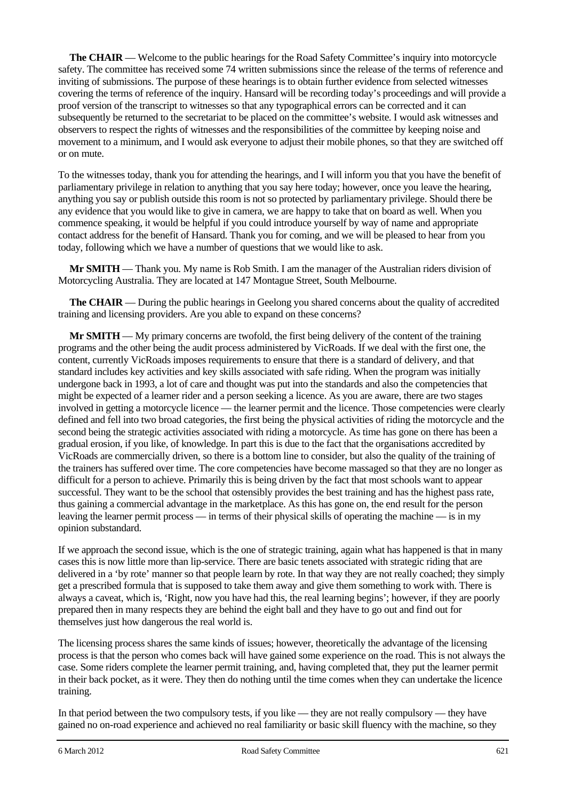**The CHAIR** — Welcome to the public hearings for the Road Safety Committee's inquiry into motorcycle safety. The committee has received some 74 written submissions since the release of the terms of reference and inviting of submissions. The purpose of these hearings is to obtain further evidence from selected witnesses covering the terms of reference of the inquiry. Hansard will be recording today's proceedings and will provide a proof version of the transcript to witnesses so that any typographical errors can be corrected and it can subsequently be returned to the secretariat to be placed on the committee's website. I would ask witnesses and observers to respect the rights of witnesses and the responsibilities of the committee by keeping noise and movement to a minimum, and I would ask everyone to adjust their mobile phones, so that they are switched off or on mute.

To the witnesses today, thank you for attending the hearings, and I will inform you that you have the benefit of parliamentary privilege in relation to anything that you say here today; however, once you leave the hearing, anything you say or publish outside this room is not so protected by parliamentary privilege. Should there be any evidence that you would like to give in camera, we are happy to take that on board as well. When you commence speaking, it would be helpful if you could introduce yourself by way of name and appropriate contact address for the benefit of Hansard. Thank you for coming, and we will be pleased to hear from you today, following which we have a number of questions that we would like to ask.

**Mr SMITH** — Thank you. My name is Rob Smith. I am the manager of the Australian riders division of Motorcycling Australia. They are located at 147 Montague Street, South Melbourne.

**The CHAIR** — During the public hearings in Geelong you shared concerns about the quality of accredited training and licensing providers. Are you able to expand on these concerns?

**Mr SMITH** — My primary concerns are twofold, the first being delivery of the content of the training programs and the other being the audit process administered by VicRoads. If we deal with the first one, the content, currently VicRoads imposes requirements to ensure that there is a standard of delivery, and that standard includes key activities and key skills associated with safe riding. When the program was initially undergone back in 1993, a lot of care and thought was put into the standards and also the competencies that might be expected of a learner rider and a person seeking a licence. As you are aware, there are two stages involved in getting a motorcycle licence — the learner permit and the licence. Those competencies were clearly defined and fell into two broad categories, the first being the physical activities of riding the motorcycle and the second being the strategic activities associated with riding a motorcycle. As time has gone on there has been a gradual erosion, if you like, of knowledge. In part this is due to the fact that the organisations accredited by VicRoads are commercially driven, so there is a bottom line to consider, but also the quality of the training of the trainers has suffered over time. The core competencies have become massaged so that they are no longer as difficult for a person to achieve. Primarily this is being driven by the fact that most schools want to appear successful. They want to be the school that ostensibly provides the best training and has the highest pass rate, thus gaining a commercial advantage in the marketplace. As this has gone on, the end result for the person leaving the learner permit process — in terms of their physical skills of operating the machine — is in my opinion substandard.

If we approach the second issue, which is the one of strategic training, again what has happened is that in many cases this is now little more than lip-service. There are basic tenets associated with strategic riding that are delivered in a 'by rote' manner so that people learn by rote. In that way they are not really coached; they simply get a prescribed formula that is supposed to take them away and give them something to work with. There is always a caveat, which is, 'Right, now you have had this, the real learning begins'; however, if they are poorly prepared then in many respects they are behind the eight ball and they have to go out and find out for themselves just how dangerous the real world is.

The licensing process shares the same kinds of issues; however, theoretically the advantage of the licensing process is that the person who comes back will have gained some experience on the road. This is not always the case. Some riders complete the learner permit training, and, having completed that, they put the learner permit in their back pocket, as it were. They then do nothing until the time comes when they can undertake the licence training.

In that period between the two compulsory tests, if you like — they are not really compulsory — they have gained no on-road experience and achieved no real familiarity or basic skill fluency with the machine, so they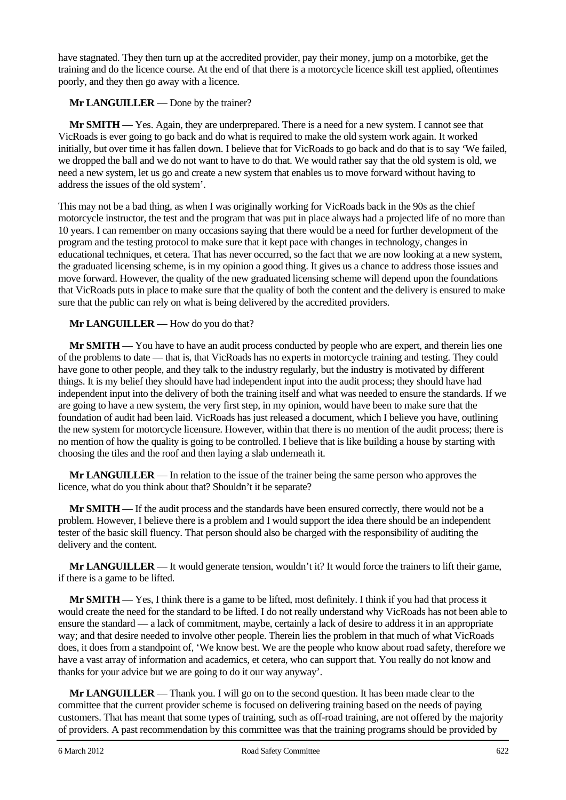have stagnated. They then turn up at the accredited provider, pay their money, jump on a motorbike, get the training and do the licence course. At the end of that there is a motorcycle licence skill test applied, oftentimes poorly, and they then go away with a licence.

### **Mr LANGUILLER** — Done by the trainer?

**Mr SMITH** — Yes. Again, they are underprepared. There is a need for a new system. I cannot see that VicRoads is ever going to go back and do what is required to make the old system work again. It worked initially, but over time it has fallen down. I believe that for VicRoads to go back and do that is to say 'We failed, we dropped the ball and we do not want to have to do that. We would rather say that the old system is old, we need a new system, let us go and create a new system that enables us to move forward without having to address the issues of the old system'.

This may not be a bad thing, as when I was originally working for VicRoads back in the 90s as the chief motorcycle instructor, the test and the program that was put in place always had a projected life of no more than 10 years. I can remember on many occasions saying that there would be a need for further development of the program and the testing protocol to make sure that it kept pace with changes in technology, changes in educational techniques, et cetera. That has never occurred, so the fact that we are now looking at a new system, the graduated licensing scheme, is in my opinion a good thing. It gives us a chance to address those issues and move forward. However, the quality of the new graduated licensing scheme will depend upon the foundations that VicRoads puts in place to make sure that the quality of both the content and the delivery is ensured to make sure that the public can rely on what is being delivered by the accredited providers.

#### **Mr LANGUILLER** — How do you do that?

**Mr SMITH** — You have to have an audit process conducted by people who are expert, and therein lies one of the problems to date — that is, that VicRoads has no experts in motorcycle training and testing. They could have gone to other people, and they talk to the industry regularly, but the industry is motivated by different things. It is my belief they should have had independent input into the audit process; they should have had independent input into the delivery of both the training itself and what was needed to ensure the standards. If we are going to have a new system, the very first step, in my opinion, would have been to make sure that the foundation of audit had been laid. VicRoads has just released a document, which I believe you have, outlining the new system for motorcycle licensure. However, within that there is no mention of the audit process; there is no mention of how the quality is going to be controlled. I believe that is like building a house by starting with choosing the tiles and the roof and then laying a slab underneath it.

**Mr LANGUILLER** — In relation to the issue of the trainer being the same person who approves the licence, what do you think about that? Shouldn't it be separate?

**Mr SMITH** — If the audit process and the standards have been ensured correctly, there would not be a problem. However, I believe there is a problem and I would support the idea there should be an independent tester of the basic skill fluency. That person should also be charged with the responsibility of auditing the delivery and the content.

**Mr LANGUILLER** — It would generate tension, wouldn't it? It would force the trainers to lift their game, if there is a game to be lifted.

**Mr SMITH** — Yes, I think there is a game to be lifted, most definitely. I think if you had that process it would create the need for the standard to be lifted. I do not really understand why VicRoads has not been able to ensure the standard — a lack of commitment, maybe, certainly a lack of desire to address it in an appropriate way; and that desire needed to involve other people. Therein lies the problem in that much of what VicRoads does, it does from a standpoint of, 'We know best. We are the people who know about road safety, therefore we have a vast array of information and academics, et cetera, who can support that. You really do not know and thanks for your advice but we are going to do it our way anyway'.

**Mr LANGUILLER** — Thank you. I will go on to the second question. It has been made clear to the committee that the current provider scheme is focused on delivering training based on the needs of paying customers. That has meant that some types of training, such as off-road training, are not offered by the majority of providers. A past recommendation by this committee was that the training programs should be provided by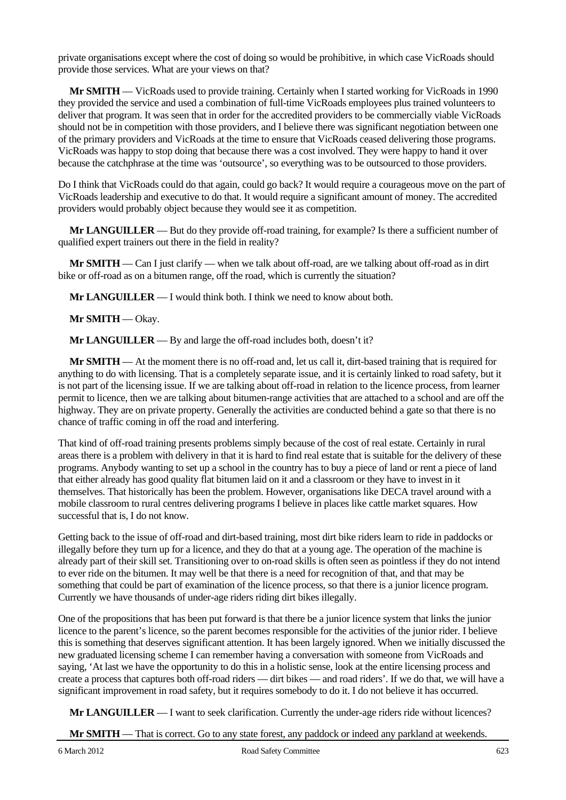private organisations except where the cost of doing so would be prohibitive, in which case VicRoads should provide those services. What are your views on that?

**Mr SMITH** — VicRoads used to provide training. Certainly when I started working for VicRoads in 1990 they provided the service and used a combination of full-time VicRoads employees plus trained volunteers to deliver that program. It was seen that in order for the accredited providers to be commercially viable VicRoads should not be in competition with those providers, and I believe there was significant negotiation between one of the primary providers and VicRoads at the time to ensure that VicRoads ceased delivering those programs. VicRoads was happy to stop doing that because there was a cost involved. They were happy to hand it over because the catchphrase at the time was 'outsource', so everything was to be outsourced to those providers.

Do I think that VicRoads could do that again, could go back? It would require a courageous move on the part of VicRoads leadership and executive to do that. It would require a significant amount of money. The accredited providers would probably object because they would see it as competition.

**Mr LANGUILLER** — But do they provide off-road training, for example? Is there a sufficient number of qualified expert trainers out there in the field in reality?

**Mr SMITH** — Can I just clarify — when we talk about off-road, are we talking about off-road as in dirt bike or off-road as on a bitumen range, off the road, which is currently the situation?

**Mr LANGUILLER** — I would think both. I think we need to know about both.

**Mr SMITH** — Okay.

**Mr LANGUILLER** — By and large the off-road includes both, doesn't it?

**Mr SMITH** — At the moment there is no off-road and, let us call it, dirt-based training that is required for anything to do with licensing. That is a completely separate issue, and it is certainly linked to road safety, but it is not part of the licensing issue. If we are talking about off-road in relation to the licence process, from learner permit to licence, then we are talking about bitumen-range activities that are attached to a school and are off the highway. They are on private property. Generally the activities are conducted behind a gate so that there is no chance of traffic coming in off the road and interfering.

That kind of off-road training presents problems simply because of the cost of real estate. Certainly in rural areas there is a problem with delivery in that it is hard to find real estate that is suitable for the delivery of these programs. Anybody wanting to set up a school in the country has to buy a piece of land or rent a piece of land that either already has good quality flat bitumen laid on it and a classroom or they have to invest in it themselves. That historically has been the problem. However, organisations like DECA travel around with a mobile classroom to rural centres delivering programs I believe in places like cattle market squares. How successful that is, I do not know.

Getting back to the issue of off-road and dirt-based training, most dirt bike riders learn to ride in paddocks or illegally before they turn up for a licence, and they do that at a young age. The operation of the machine is already part of their skill set. Transitioning over to on-road skills is often seen as pointless if they do not intend to ever ride on the bitumen. It may well be that there is a need for recognition of that, and that may be something that could be part of examination of the licence process, so that there is a junior licence program. Currently we have thousands of under-age riders riding dirt bikes illegally.

One of the propositions that has been put forward is that there be a junior licence system that links the junior licence to the parent's licence, so the parent becomes responsible for the activities of the junior rider. I believe this is something that deserves significant attention. It has been largely ignored. When we initially discussed the new graduated licensing scheme I can remember having a conversation with someone from VicRoads and saying, 'At last we have the opportunity to do this in a holistic sense, look at the entire licensing process and create a process that captures both off-road riders — dirt bikes — and road riders'. If we do that, we will have a significant improvement in road safety, but it requires somebody to do it. I do not believe it has occurred.

**Mr LANGUILLER** — I want to seek clarification. Currently the under-age riders ride without licences?

**Mr SMITH** — That is correct. Go to any state forest, any paddock or indeed any parkland at weekends.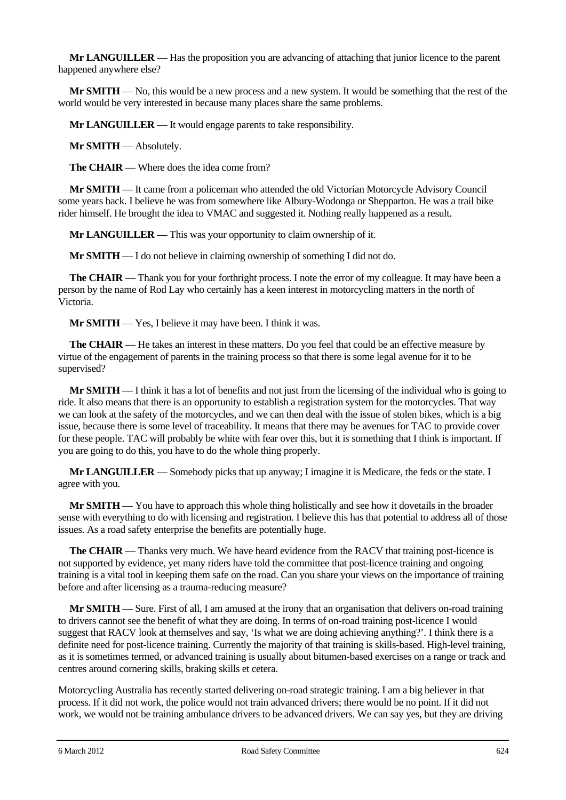**Mr LANGUILLER** — Has the proposition you are advancing of attaching that junior licence to the parent happened anywhere else?

**Mr SMITH** — No, this would be a new process and a new system. It would be something that the rest of the world would be very interested in because many places share the same problems.

**Mr LANGUILLER** — It would engage parents to take responsibility.

**Mr SMITH** — Absolutely.

**The CHAIR** — Where does the idea come from?

**Mr SMITH** — It came from a policeman who attended the old Victorian Motorcycle Advisory Council some years back. I believe he was from somewhere like Albury-Wodonga or Shepparton. He was a trail bike rider himself. He brought the idea to VMAC and suggested it. Nothing really happened as a result.

**Mr LANGUILLER** — This was your opportunity to claim ownership of it.

**Mr SMITH** — I do not believe in claiming ownership of something I did not do.

**The CHAIR** — Thank you for your forthright process. I note the error of my colleague. It may have been a person by the name of Rod Lay who certainly has a keen interest in motorcycling matters in the north of Victoria.

**Mr SMITH** — Yes, I believe it may have been. I think it was.

**The CHAIR** — He takes an interest in these matters. Do you feel that could be an effective measure by virtue of the engagement of parents in the training process so that there is some legal avenue for it to be supervised?

**Mr SMITH** — I think it has a lot of benefits and not just from the licensing of the individual who is going to ride. It also means that there is an opportunity to establish a registration system for the motorcycles. That way we can look at the safety of the motorcycles, and we can then deal with the issue of stolen bikes, which is a big issue, because there is some level of traceability. It means that there may be avenues for TAC to provide cover for these people. TAC will probably be white with fear over this, but it is something that I think is important. If you are going to do this, you have to do the whole thing properly.

**Mr LANGUILLER** — Somebody picks that up anyway; I imagine it is Medicare, the feds or the state. I agree with you.

**Mr SMITH** — You have to approach this whole thing holistically and see how it dovetails in the broader sense with everything to do with licensing and registration. I believe this has that potential to address all of those issues. As a road safety enterprise the benefits are potentially huge.

**The CHAIR** — Thanks very much. We have heard evidence from the RACV that training post-licence is not supported by evidence, yet many riders have told the committee that post-licence training and ongoing training is a vital tool in keeping them safe on the road. Can you share your views on the importance of training before and after licensing as a trauma-reducing measure?

**Mr SMITH** — Sure. First of all, I am amused at the irony that an organisation that delivers on-road training to drivers cannot see the benefit of what they are doing. In terms of on-road training post-licence I would suggest that RACV look at themselves and say, 'Is what we are doing achieving anything?'. I think there is a definite need for post-licence training. Currently the majority of that training is skills-based. High-level training, as it is sometimes termed, or advanced training is usually about bitumen-based exercises on a range or track and centres around cornering skills, braking skills et cetera.

Motorcycling Australia has recently started delivering on-road strategic training. I am a big believer in that process. If it did not work, the police would not train advanced drivers; there would be no point. If it did not work, we would not be training ambulance drivers to be advanced drivers. We can say yes, but they are driving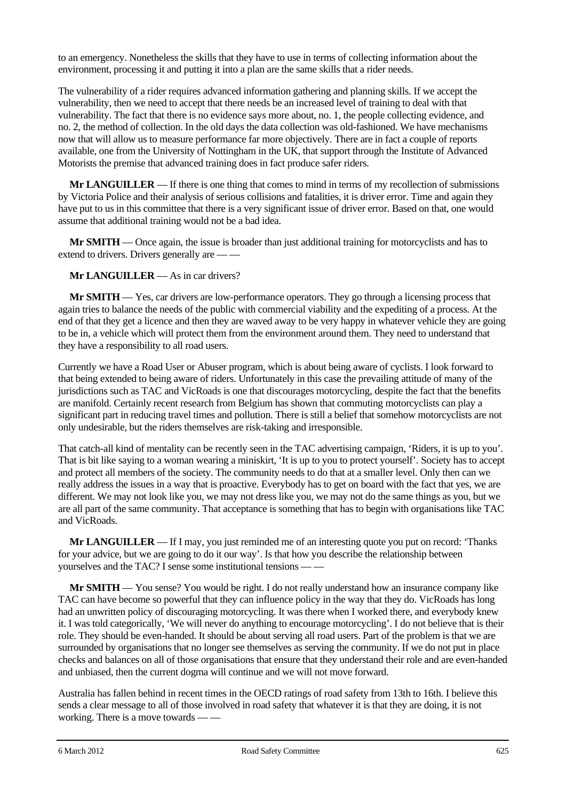to an emergency. Nonetheless the skills that they have to use in terms of collecting information about the environment, processing it and putting it into a plan are the same skills that a rider needs.

The vulnerability of a rider requires advanced information gathering and planning skills. If we accept the vulnerability, then we need to accept that there needs be an increased level of training to deal with that vulnerability. The fact that there is no evidence says more about, no. 1, the people collecting evidence, and no. 2, the method of collection. In the old days the data collection was old-fashioned. We have mechanisms now that will allow us to measure performance far more objectively. There are in fact a couple of reports available, one from the University of Nottingham in the UK, that support through the Institute of Advanced Motorists the premise that advanced training does in fact produce safer riders.

**Mr LANGUILLER** — If there is one thing that comes to mind in terms of my recollection of submissions by Victoria Police and their analysis of serious collisions and fatalities, it is driver error. Time and again they have put to us in this committee that there is a very significant issue of driver error. Based on that, one would assume that additional training would not be a bad idea.

**Mr SMITH** — Once again, the issue is broader than just additional training for motorcyclists and has to extend to drivers. Drivers generally are — —

**Mr LANGUILLER** — As in car drivers?

**Mr SMITH** — Yes, car drivers are low-performance operators. They go through a licensing process that again tries to balance the needs of the public with commercial viability and the expediting of a process. At the end of that they get a licence and then they are waved away to be very happy in whatever vehicle they are going to be in, a vehicle which will protect them from the environment around them. They need to understand that they have a responsibility to all road users.

Currently we have a Road User or Abuser program, which is about being aware of cyclists. I look forward to that being extended to being aware of riders. Unfortunately in this case the prevailing attitude of many of the jurisdictions such as TAC and VicRoads is one that discourages motorcycling, despite the fact that the benefits are manifold. Certainly recent research from Belgium has shown that commuting motorcyclists can play a significant part in reducing travel times and pollution. There is still a belief that somehow motorcyclists are not only undesirable, but the riders themselves are risk-taking and irresponsible.

That catch-all kind of mentality can be recently seen in the TAC advertising campaign, 'Riders, it is up to you'. That is bit like saying to a woman wearing a miniskirt, 'It is up to you to protect yourself'. Society has to accept and protect all members of the society. The community needs to do that at a smaller level. Only then can we really address the issues in a way that is proactive. Everybody has to get on board with the fact that yes, we are different. We may not look like you, we may not dress like you, we may not do the same things as you, but we are all part of the same community. That acceptance is something that has to begin with organisations like TAC and VicRoads.

**Mr LANGUILLER** — If I may, you just reminded me of an interesting quote you put on record: 'Thanks for your advice, but we are going to do it our way'. Is that how you describe the relationship between yourselves and the TAC? I sense some institutional tensions — —

**Mr SMITH** — You sense? You would be right. I do not really understand how an insurance company like TAC can have become so powerful that they can influence policy in the way that they do. VicRoads has long had an unwritten policy of discouraging motorcycling. It was there when I worked there, and everybody knew it. I was told categorically, 'We will never do anything to encourage motorcycling'. I do not believe that is their role. They should be even-handed. It should be about serving all road users. Part of the problem is that we are surrounded by organisations that no longer see themselves as serving the community. If we do not put in place checks and balances on all of those organisations that ensure that they understand their role and are even-handed and unbiased, then the current dogma will continue and we will not move forward.

Australia has fallen behind in recent times in the OECD ratings of road safety from 13th to 16th. I believe this sends a clear message to all of those involved in road safety that whatever it is that they are doing, it is not working. There is a move towards — —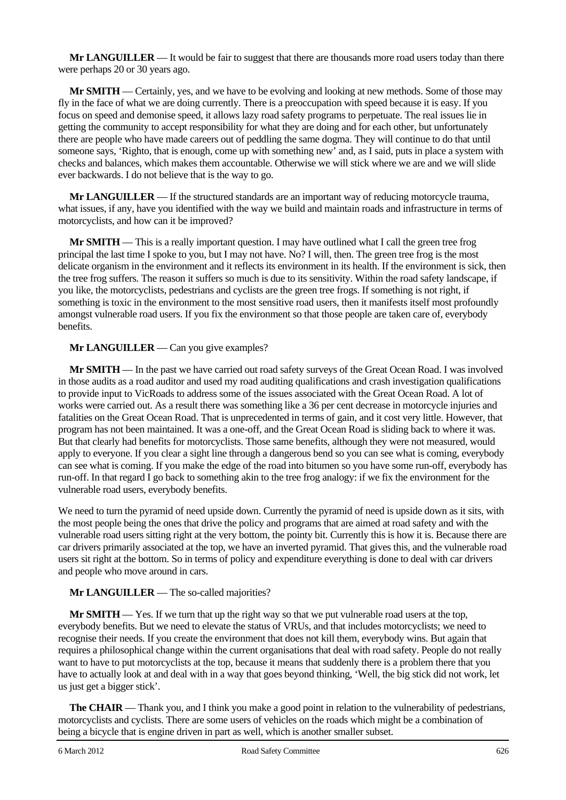**Mr LANGUILLER** — It would be fair to suggest that there are thousands more road users today than there were perhaps 20 or 30 years ago.

**Mr SMITH** — Certainly, yes, and we have to be evolving and looking at new methods. Some of those may fly in the face of what we are doing currently. There is a preoccupation with speed because it is easy. If you focus on speed and demonise speed, it allows lazy road safety programs to perpetuate. The real issues lie in getting the community to accept responsibility for what they are doing and for each other, but unfortunately there are people who have made careers out of peddling the same dogma. They will continue to do that until someone says, 'Righto, that is enough, come up with something new' and, as I said, puts in place a system with checks and balances, which makes them accountable. Otherwise we will stick where we are and we will slide ever backwards. I do not believe that is the way to go.

**Mr LANGUILLER** — If the structured standards are an important way of reducing motorcycle trauma, what issues, if any, have you identified with the way we build and maintain roads and infrastructure in terms of motorcyclists, and how can it be improved?

**Mr SMITH** — This is a really important question. I may have outlined what I call the green tree frog principal the last time I spoke to you, but I may not have. No? I will, then. The green tree frog is the most delicate organism in the environment and it reflects its environment in its health. If the environment is sick, then the tree frog suffers. The reason it suffers so much is due to its sensitivity. Within the road safety landscape, if you like, the motorcyclists, pedestrians and cyclists are the green tree frogs. If something is not right, if something is toxic in the environment to the most sensitive road users, then it manifests itself most profoundly amongst vulnerable road users. If you fix the environment so that those people are taken care of, everybody benefits.

#### **Mr LANGUILLER** — Can you give examples?

**Mr SMITH** — In the past we have carried out road safety surveys of the Great Ocean Road. I was involved in those audits as a road auditor and used my road auditing qualifications and crash investigation qualifications to provide input to VicRoads to address some of the issues associated with the Great Ocean Road. A lot of works were carried out. As a result there was something like a 36 per cent decrease in motorcycle injuries and fatalities on the Great Ocean Road. That is unprecedented in terms of gain, and it cost very little. However, that program has not been maintained. It was a one-off, and the Great Ocean Road is sliding back to where it was. But that clearly had benefits for motorcyclists. Those same benefits, although they were not measured, would apply to everyone. If you clear a sight line through a dangerous bend so you can see what is coming, everybody can see what is coming. If you make the edge of the road into bitumen so you have some run-off, everybody has run-off. In that regard I go back to something akin to the tree frog analogy: if we fix the environment for the vulnerable road users, everybody benefits.

We need to turn the pyramid of need upside down. Currently the pyramid of need is upside down as it sits, with the most people being the ones that drive the policy and programs that are aimed at road safety and with the vulnerable road users sitting right at the very bottom, the pointy bit. Currently this is how it is. Because there are car drivers primarily associated at the top, we have an inverted pyramid. That gives this, and the vulnerable road users sit right at the bottom. So in terms of policy and expenditure everything is done to deal with car drivers and people who move around in cars.

# **Mr LANGUILLER** — The so-called majorities?

**Mr SMITH** — Yes. If we turn that up the right way so that we put vulnerable road users at the top, everybody benefits. But we need to elevate the status of VRUs, and that includes motorcyclists; we need to recognise their needs. If you create the environment that does not kill them, everybody wins. But again that requires a philosophical change within the current organisations that deal with road safety. People do not really want to have to put motorcyclists at the top, because it means that suddenly there is a problem there that you have to actually look at and deal with in a way that goes beyond thinking, 'Well, the big stick did not work, let us just get a bigger stick'.

**The CHAIR** — Thank you, and I think you make a good point in relation to the vulnerability of pedestrians, motorcyclists and cyclists. There are some users of vehicles on the roads which might be a combination of being a bicycle that is engine driven in part as well, which is another smaller subset.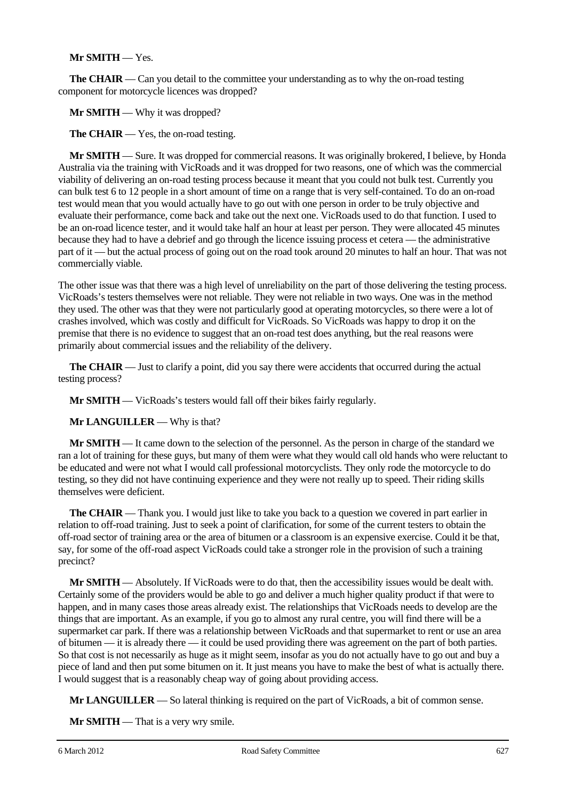# **Mr SMITH** — Yes.

**The CHAIR** — Can you detail to the committee your understanding as to why the on-road testing component for motorcycle licences was dropped?

**Mr SMITH** — Why it was dropped?

**The CHAIR** — Yes, the on-road testing.

**Mr SMITH** — Sure. It was dropped for commercial reasons. It was originally brokered, I believe, by Honda Australia via the training with VicRoads and it was dropped for two reasons, one of which was the commercial viability of delivering an on-road testing process because it meant that you could not bulk test. Currently you can bulk test 6 to 12 people in a short amount of time on a range that is very self-contained. To do an on-road test would mean that you would actually have to go out with one person in order to be truly objective and evaluate their performance, come back and take out the next one. VicRoads used to do that function. I used to be an on-road licence tester, and it would take half an hour at least per person. They were allocated 45 minutes because they had to have a debrief and go through the licence issuing process et cetera — the administrative part of it — but the actual process of going out on the road took around 20 minutes to half an hour. That was not commercially viable.

The other issue was that there was a high level of unreliability on the part of those delivering the testing process. VicRoads's testers themselves were not reliable. They were not reliable in two ways. One was in the method they used. The other was that they were not particularly good at operating motorcycles, so there were a lot of crashes involved, which was costly and difficult for VicRoads. So VicRoads was happy to drop it on the premise that there is no evidence to suggest that an on-road test does anything, but the real reasons were primarily about commercial issues and the reliability of the delivery.

**The CHAIR** — Just to clarify a point, did you say there were accidents that occurred during the actual testing process?

**Mr SMITH** — VicRoads's testers would fall off their bikes fairly regularly.

**Mr LANGUILLER** — Why is that?

**Mr SMITH** — It came down to the selection of the personnel. As the person in charge of the standard we ran a lot of training for these guys, but many of them were what they would call old hands who were reluctant to be educated and were not what I would call professional motorcyclists. They only rode the motorcycle to do testing, so they did not have continuing experience and they were not really up to speed. Their riding skills themselves were deficient.

**The CHAIR** — Thank you. I would just like to take you back to a question we covered in part earlier in relation to off-road training. Just to seek a point of clarification, for some of the current testers to obtain the off-road sector of training area or the area of bitumen or a classroom is an expensive exercise. Could it be that, say, for some of the off-road aspect VicRoads could take a stronger role in the provision of such a training precinct?

**Mr SMITH** — Absolutely. If VicRoads were to do that, then the accessibility issues would be dealt with. Certainly some of the providers would be able to go and deliver a much higher quality product if that were to happen, and in many cases those areas already exist. The relationships that VicRoads needs to develop are the things that are important. As an example, if you go to almost any rural centre, you will find there will be a supermarket car park. If there was a relationship between VicRoads and that supermarket to rent or use an area of bitumen — it is already there — it could be used providing there was agreement on the part of both parties. So that cost is not necessarily as huge as it might seem, insofar as you do not actually have to go out and buy a piece of land and then put some bitumen on it. It just means you have to make the best of what is actually there. I would suggest that is a reasonably cheap way of going about providing access.

**Mr LANGUILLER** — So lateral thinking is required on the part of VicRoads, a bit of common sense.

**Mr SMITH** — That is a very wry smile.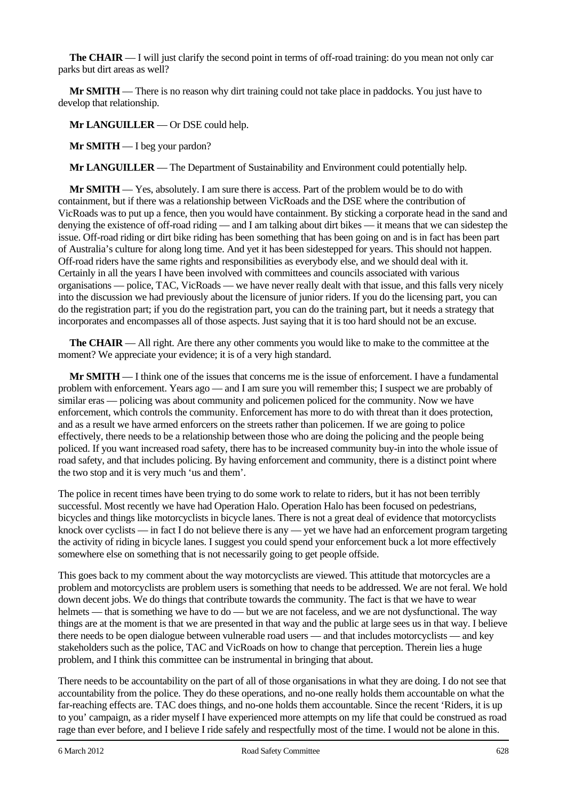**The CHAIR** — I will just clarify the second point in terms of off-road training: do you mean not only car parks but dirt areas as well?

**Mr SMITH** — There is no reason why dirt training could not take place in paddocks. You just have to develop that relationship.

**Mr LANGUILLER** — Or DSE could help.

**Mr SMITH** — I beg your pardon?

**Mr LANGUILLER** — The Department of Sustainability and Environment could potentially help.

**Mr SMITH** — Yes, absolutely. I am sure there is access. Part of the problem would be to do with containment, but if there was a relationship between VicRoads and the DSE where the contribution of VicRoads was to put up a fence, then you would have containment. By sticking a corporate head in the sand and denying the existence of off-road riding — and I am talking about dirt bikes — it means that we can sidestep the issue. Off-road riding or dirt bike riding has been something that has been going on and is in fact has been part of Australia's culture for along long time. And yet it has been sidestepped for years. This should not happen. Off-road riders have the same rights and responsibilities as everybody else, and we should deal with it. Certainly in all the years I have been involved with committees and councils associated with various organisations — police, TAC, VicRoads — we have never really dealt with that issue, and this falls very nicely into the discussion we had previously about the licensure of junior riders. If you do the licensing part, you can do the registration part; if you do the registration part, you can do the training part, but it needs a strategy that incorporates and encompasses all of those aspects. Just saying that it is too hard should not be an excuse.

**The CHAIR** — All right. Are there any other comments you would like to make to the committee at the moment? We appreciate your evidence; it is of a very high standard.

**Mr SMITH** — I think one of the issues that concerns me is the issue of enforcement. I have a fundamental problem with enforcement. Years ago — and I am sure you will remember this; I suspect we are probably of similar eras — policing was about community and policemen policed for the community. Now we have enforcement, which controls the community. Enforcement has more to do with threat than it does protection, and as a result we have armed enforcers on the streets rather than policemen. If we are going to police effectively, there needs to be a relationship between those who are doing the policing and the people being policed. If you want increased road safety, there has to be increased community buy-in into the whole issue of road safety, and that includes policing. By having enforcement and community, there is a distinct point where the two stop and it is very much 'us and them'.

The police in recent times have been trying to do some work to relate to riders, but it has not been terribly successful. Most recently we have had Operation Halo. Operation Halo has been focused on pedestrians, bicycles and things like motorcyclists in bicycle lanes. There is not a great deal of evidence that motorcyclists knock over cyclists — in fact I do not believe there is any — yet we have had an enforcement program targeting the activity of riding in bicycle lanes. I suggest you could spend your enforcement buck a lot more effectively somewhere else on something that is not necessarily going to get people offside.

This goes back to my comment about the way motorcyclists are viewed. This attitude that motorcycles are a problem and motorcyclists are problem users is something that needs to be addressed. We are not feral. We hold down decent jobs. We do things that contribute towards the community. The fact is that we have to wear helmets — that is something we have to do — but we are not faceless, and we are not dysfunctional. The way things are at the moment is that we are presented in that way and the public at large sees us in that way. I believe there needs to be open dialogue between vulnerable road users — and that includes motorcyclists — and key stakeholders such as the police, TAC and VicRoads on how to change that perception. Therein lies a huge problem, and I think this committee can be instrumental in bringing that about.

There needs to be accountability on the part of all of those organisations in what they are doing. I do not see that accountability from the police. They do these operations, and no-one really holds them accountable on what the far-reaching effects are. TAC does things, and no-one holds them accountable. Since the recent 'Riders, it is up to you' campaign, as a rider myself I have experienced more attempts on my life that could be construed as road rage than ever before, and I believe I ride safely and respectfully most of the time. I would not be alone in this.